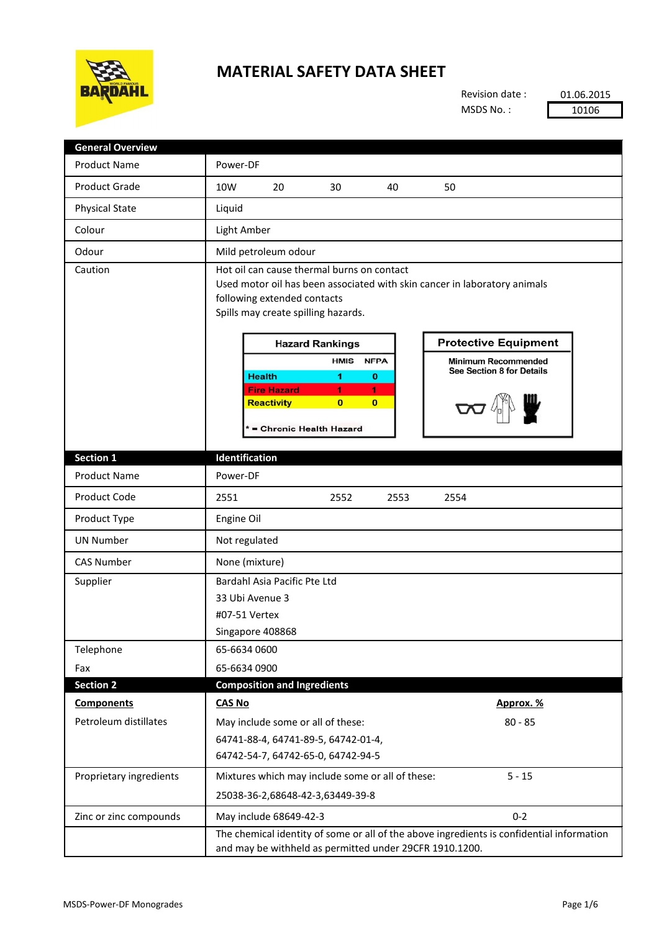

## **MATERIAL SAFETY DATA SHEET**

Revision date : MSDS No. :

01.06.2015 10106

| <b>General Overview</b> |                                                                                                                                                                                               |  |  |  |  |
|-------------------------|-----------------------------------------------------------------------------------------------------------------------------------------------------------------------------------------------|--|--|--|--|
| <b>Product Name</b>     | Power-DF                                                                                                                                                                                      |  |  |  |  |
| <b>Product Grade</b>    | 10W<br>20<br>50<br>30<br>40                                                                                                                                                                   |  |  |  |  |
| <b>Physical State</b>   | Liquid                                                                                                                                                                                        |  |  |  |  |
| Colour                  | Light Amber                                                                                                                                                                                   |  |  |  |  |
| Odour                   | Mild petroleum odour                                                                                                                                                                          |  |  |  |  |
| Caution                 | Hot oil can cause thermal burns on contact<br>Used motor oil has been associated with skin cancer in laboratory animals<br>following extended contacts<br>Spills may create spilling hazards. |  |  |  |  |
|                         | <b>Protective Equipment</b><br><b>Hazard Rankings</b>                                                                                                                                         |  |  |  |  |
|                         | <b>HMIS</b><br><b>NFPA</b><br><b>Minimum Recommended</b><br><b>See Section 8 for Details</b><br><b>Health</b><br>1<br>$\bf{0}$                                                                |  |  |  |  |
|                         | <b>Fire Hazard</b><br>1<br>1<br><b>Reactivity</b><br>$\mathbf{0}$<br>$\mathbf{0}$<br>* = Chronic Health Hazard                                                                                |  |  |  |  |
| Section 1               | Identification                                                                                                                                                                                |  |  |  |  |
| <b>Product Name</b>     | Power-DF                                                                                                                                                                                      |  |  |  |  |
| <b>Product Code</b>     | 2551<br>2552<br>2553<br>2554                                                                                                                                                                  |  |  |  |  |
| Product Type            | Engine Oil                                                                                                                                                                                    |  |  |  |  |
| <b>UN Number</b>        | Not regulated                                                                                                                                                                                 |  |  |  |  |
| <b>CAS Number</b>       | None (mixture)                                                                                                                                                                                |  |  |  |  |
| Supplier                | Bardahl Asia Pacific Pte Ltd<br>33 Ubi Avenue 3<br>#07-51 Vertex<br>Singapore 408868                                                                                                          |  |  |  |  |
| Telephone               | 65-6634 0600                                                                                                                                                                                  |  |  |  |  |
| Fax                     | 65-6634 0900                                                                                                                                                                                  |  |  |  |  |
| <b>Section 2</b>        | <b>Composition and Ingredients</b>                                                                                                                                                            |  |  |  |  |
| <b>Components</b>       | <b>CAS No</b><br>Approx. %                                                                                                                                                                    |  |  |  |  |
| Petroleum distillates   | May include some or all of these:<br>$80 - 85$<br>64741-88-4, 64741-89-5, 64742-01-4,<br>64742-54-7, 64742-65-0, 64742-94-5                                                                   |  |  |  |  |
| Proprietary ingredients | Mixtures which may include some or all of these:<br>$5 - 15$<br>25038-36-2,68648-42-3,63449-39-8                                                                                              |  |  |  |  |
| Zinc or zinc compounds  | $0 - 2$<br>May include 68649-42-3                                                                                                                                                             |  |  |  |  |
|                         | The chemical identity of some or all of the above ingredients is confidential information<br>and may be withheld as permitted under 29CFR 1910.1200.                                          |  |  |  |  |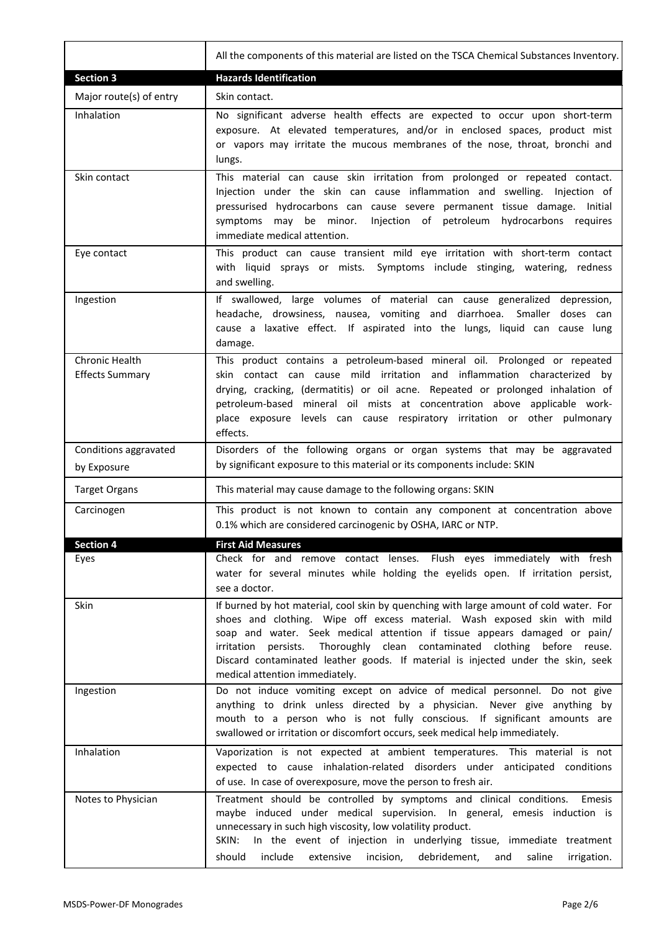|                                          | All the components of this material are listed on the TSCA Chemical Substances Inventory.                                                                                                                                                                                                                                                                                                                                                                 |
|------------------------------------------|-----------------------------------------------------------------------------------------------------------------------------------------------------------------------------------------------------------------------------------------------------------------------------------------------------------------------------------------------------------------------------------------------------------------------------------------------------------|
| <b>Section 3</b>                         | <b>Hazards Identification</b>                                                                                                                                                                                                                                                                                                                                                                                                                             |
| Major route(s) of entry                  | Skin contact.                                                                                                                                                                                                                                                                                                                                                                                                                                             |
| Inhalation                               | No significant adverse health effects are expected to occur upon short-term<br>exposure. At elevated temperatures, and/or in enclosed spaces, product mist<br>or vapors may irritate the mucous membranes of the nose, throat, bronchi and<br>lungs.                                                                                                                                                                                                      |
| Skin contact                             | This material can cause skin irritation from prolonged or repeated contact.<br>Injection under the skin can cause inflammation and swelling. Injection of<br>pressurised hydrocarbons can cause severe permanent tissue damage. Initial<br>Injection of petroleum hydrocarbons requires<br>symptoms may be minor.<br>immediate medical attention.                                                                                                         |
| Eye contact                              | This product can cause transient mild eye irritation with short-term contact<br>with liquid sprays or mists. Symptoms include stinging, watering,<br>redness<br>and swelling.                                                                                                                                                                                                                                                                             |
| Ingestion                                | If swallowed, large volumes of material can cause generalized depression,<br>headache, drowsiness, nausea, vomiting and diarrhoea. Smaller doses can<br>cause a laxative effect. If aspirated into the lungs, liquid can cause lung<br>damage.                                                                                                                                                                                                            |
| Chronic Health<br><b>Effects Summary</b> | This product contains a petroleum-based mineral oil. Prolonged or repeated<br>skin contact can cause mild irritation and inflammation characterized by<br>drying, cracking, (dermatitis) or oil acne. Repeated or prolonged inhalation of<br>petroleum-based mineral oil mists at concentration above applicable work-<br>place exposure levels can cause respiratory irritation or other pulmonary<br>effects.                                           |
| Conditions aggravated<br>by Exposure     | Disorders of the following organs or organ systems that may be aggravated<br>by significant exposure to this material or its components include: SKIN                                                                                                                                                                                                                                                                                                     |
| <b>Target Organs</b>                     | This material may cause damage to the following organs: SKIN                                                                                                                                                                                                                                                                                                                                                                                              |
| Carcinogen                               | This product is not known to contain any component at concentration above<br>0.1% which are considered carcinogenic by OSHA, IARC or NTP.                                                                                                                                                                                                                                                                                                                 |
| <b>Section 4</b>                         | <b>First Aid Measures</b>                                                                                                                                                                                                                                                                                                                                                                                                                                 |
| Eyes                                     | Check for and remove contact lenses. Flush eyes immediately with fresh<br>water for several minutes while holding the eyelids open. If irritation persist,<br>see a doctor.                                                                                                                                                                                                                                                                               |
| <b>Skin</b>                              | If burned by hot material, cool skin by quenching with large amount of cold water. For<br>shoes and clothing. Wipe off excess material. Wash exposed skin with mild<br>soap and water. Seek medical attention if tissue appears damaged or pain/<br>Thoroughly clean contaminated clothing before reuse.<br>persists.<br>irritation<br>Discard contaminated leather goods. If material is injected under the skin, seek<br>medical attention immediately. |
| Ingestion                                | Do not induce vomiting except on advice of medical personnel. Do not give<br>anything to drink unless directed by a physician. Never give anything by<br>mouth to a person who is not fully conscious. If significant amounts are<br>swallowed or irritation or discomfort occurs, seek medical help immediately.                                                                                                                                         |
| Inhalation                               | Vaporization is not expected at ambient temperatures. This material is not<br>expected to cause inhalation-related disorders under anticipated conditions<br>of use. In case of overexposure, move the person to fresh air.                                                                                                                                                                                                                               |
| Notes to Physician                       | Treatment should be controlled by symptoms and clinical conditions.<br>Emesis<br>maybe induced under medical supervision. In general, emesis induction is<br>unnecessary in such high viscosity, low volatility product.<br>SKIN:<br>In the event of injection in underlying tissue, immediate treatment<br>should<br>include<br>extensive<br>incision,<br>debridement,<br>saline<br>and<br>irrigation.                                                   |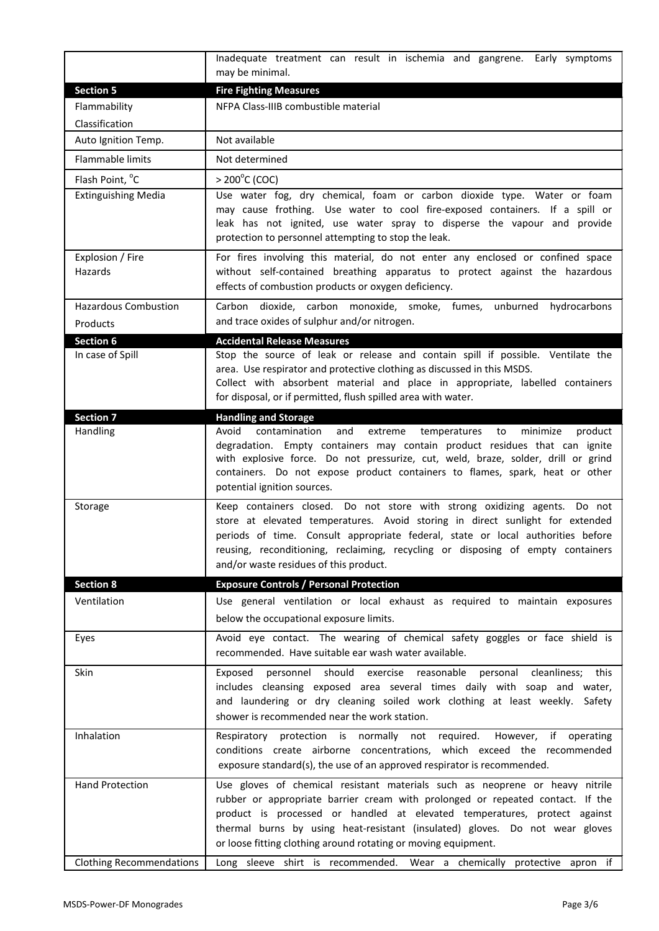|                                         | Inadequate treatment can result in ischemia and gangrene. Early symptoms<br>may be minimal.                                                                                                                                                                                                                                                                                                            |  |  |  |  |  |
|-----------------------------------------|--------------------------------------------------------------------------------------------------------------------------------------------------------------------------------------------------------------------------------------------------------------------------------------------------------------------------------------------------------------------------------------------------------|--|--|--|--|--|
| <b>Section 5</b>                        | <b>Fire Fighting Measures</b>                                                                                                                                                                                                                                                                                                                                                                          |  |  |  |  |  |
| Flammability                            | NFPA Class-IIIB combustible material                                                                                                                                                                                                                                                                                                                                                                   |  |  |  |  |  |
| Classification                          |                                                                                                                                                                                                                                                                                                                                                                                                        |  |  |  |  |  |
| Auto Ignition Temp.                     | Not available                                                                                                                                                                                                                                                                                                                                                                                          |  |  |  |  |  |
| <b>Flammable limits</b>                 | Not determined                                                                                                                                                                                                                                                                                                                                                                                         |  |  |  |  |  |
| Flash Point, °C                         | $> 200^{\circ}$ C (COC)                                                                                                                                                                                                                                                                                                                                                                                |  |  |  |  |  |
| <b>Extinguishing Media</b>              | Use water fog, dry chemical, foam or carbon dioxide type. Water or foam<br>may cause frothing. Use water to cool fire-exposed containers. If a spill or<br>leak has not ignited, use water spray to disperse the vapour and provide<br>protection to personnel attempting to stop the leak.                                                                                                            |  |  |  |  |  |
| Explosion / Fire<br>Hazards             | For fires involving this material, do not enter any enclosed or confined space<br>without self-contained breathing apparatus to protect against the hazardous<br>effects of combustion products or oxygen deficiency.                                                                                                                                                                                  |  |  |  |  |  |
| <b>Hazardous Combustion</b><br>Products | Carbon dioxide, carbon monoxide, smoke, fumes, unburned<br>hydrocarbons<br>and trace oxides of sulphur and/or nitrogen.                                                                                                                                                                                                                                                                                |  |  |  |  |  |
| <b>Section 6</b>                        | <b>Accidental Release Measures</b>                                                                                                                                                                                                                                                                                                                                                                     |  |  |  |  |  |
| In case of Spill                        | Stop the source of leak or release and contain spill if possible. Ventilate the<br>area. Use respirator and protective clothing as discussed in this MSDS.<br>Collect with absorbent material and place in appropriate, labelled containers<br>for disposal, or if permitted, flush spilled area with water.                                                                                           |  |  |  |  |  |
| Section 7<br>Handling                   | <b>Handling and Storage</b><br>Avoid<br>contamination<br>and<br>extreme<br>temperatures<br>minimize<br>product<br>to<br>degradation. Empty containers may contain product residues that can ignite<br>with explosive force. Do not pressurize, cut, weld, braze, solder, drill or grind<br>containers. Do not expose product containers to flames, spark, heat or other<br>potential ignition sources. |  |  |  |  |  |
| Storage                                 | Keep containers closed. Do not store with strong oxidizing agents. Do not<br>store at elevated temperatures. Avoid storing in direct sunlight for extended<br>periods of time. Consult appropriate federal, state or local authorities before<br>reusing, reconditioning, reclaiming, recycling or disposing of empty containers<br>and/or waste residues of this product.                             |  |  |  |  |  |
| <b>Section 8</b>                        | <b>Exposure Controls / Personal Protection</b>                                                                                                                                                                                                                                                                                                                                                         |  |  |  |  |  |
| Ventilation                             | Use general ventilation or local exhaust as required to maintain exposures<br>below the occupational exposure limits.                                                                                                                                                                                                                                                                                  |  |  |  |  |  |
| Eyes                                    | Avoid eye contact. The wearing of chemical safety goggles or face shield is<br>recommended. Have suitable ear wash water available.                                                                                                                                                                                                                                                                    |  |  |  |  |  |
| Skin                                    | should<br>exercise reasonable<br>personal cleanliness; this<br>Exposed<br>personnel<br>includes cleansing exposed area several times daily with soap and water,<br>and laundering or dry cleaning soiled work clothing at least weekly. Safety<br>shower is recommended near the work station.                                                                                                         |  |  |  |  |  |
| Inhalation                              | Respiratory protection is normally not required.<br>However,<br>if<br>operating<br>conditions create airborne concentrations, which exceed the recommended<br>exposure standard(s), the use of an approved respirator is recommended.                                                                                                                                                                  |  |  |  |  |  |
| <b>Hand Protection</b>                  | Use gloves of chemical resistant materials such as neoprene or heavy nitrile<br>rubber or appropriate barrier cream with prolonged or repeated contact. If the<br>product is processed or handled at elevated temperatures, protect against<br>thermal burns by using heat-resistant (insulated) gloves. Do not wear gloves<br>or loose fitting clothing around rotating or moving equipment.          |  |  |  |  |  |
| <b>Clothing Recommendations</b>         | Long sleeve shirt is recommended. Wear a chemically protective apron if                                                                                                                                                                                                                                                                                                                                |  |  |  |  |  |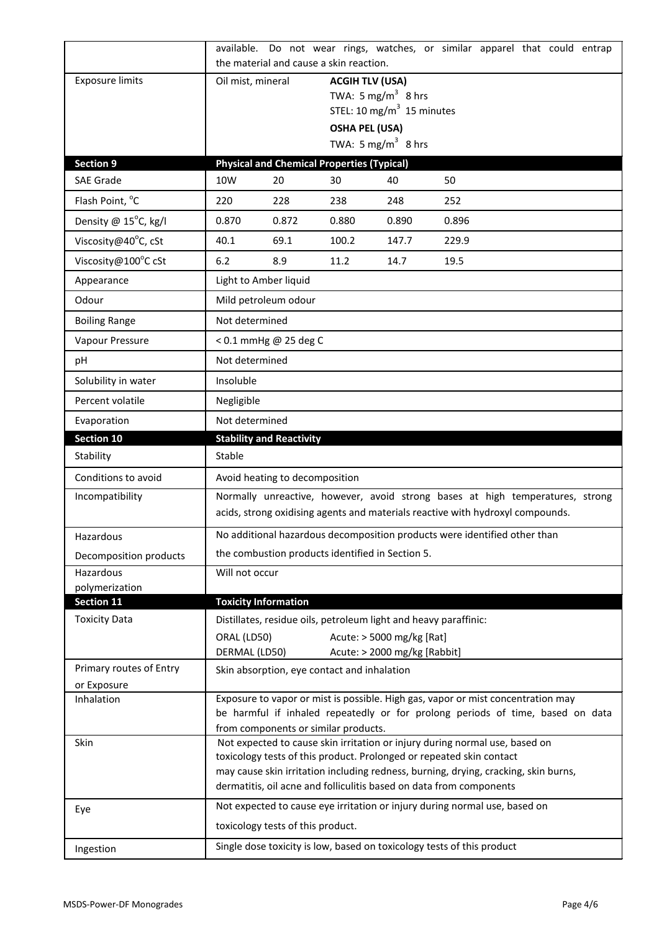|                                     | available.                                                                                                                                                                                                 |                                   |                                                   | Do not wear rings, watches, or similar apparel that could entrap                                                                                            |       |  |  |  |
|-------------------------------------|------------------------------------------------------------------------------------------------------------------------------------------------------------------------------------------------------------|-----------------------------------|---------------------------------------------------|-------------------------------------------------------------------------------------------------------------------------------------------------------------|-------|--|--|--|
|                                     |                                                                                                                                                                                                            |                                   | the material and cause a skin reaction.           |                                                                                                                                                             |       |  |  |  |
| <b>Exposure limits</b>              | <b>ACGIH TLV (USA)</b><br>Oil mist, mineral<br>TWA: 5 mg/m <sup>3</sup> 8 hrs                                                                                                                              |                                   |                                                   |                                                                                                                                                             |       |  |  |  |
|                                     |                                                                                                                                                                                                            |                                   |                                                   | STEL: 10 mg/m <sup>3</sup> 15 minutes                                                                                                                       |       |  |  |  |
|                                     |                                                                                                                                                                                                            |                                   | <b>OSHA PEL (USA)</b>                             |                                                                                                                                                             |       |  |  |  |
|                                     |                                                                                                                                                                                                            |                                   |                                                   | TWA: 5 mg/m <sup>3</sup> 8 hrs                                                                                                                              |       |  |  |  |
| <b>Section 9</b>                    |                                                                                                                                                                                                            |                                   | <b>Physical and Chemical Properties (Typical)</b> |                                                                                                                                                             |       |  |  |  |
| <b>SAE Grade</b>                    | 10W                                                                                                                                                                                                        | 20                                | 30                                                | 40                                                                                                                                                          | 50    |  |  |  |
| Flash Point, °C                     | 220                                                                                                                                                                                                        | 228                               | 238                                               | 248                                                                                                                                                         | 252   |  |  |  |
| Density @ 15°C, kg/l                | 0.870                                                                                                                                                                                                      | 0.872                             | 0.880                                             | 0.890                                                                                                                                                       | 0.896 |  |  |  |
| Viscosity@40°C, cSt                 | 40.1                                                                                                                                                                                                       | 69.1                              | 100.2                                             | 147.7                                                                                                                                                       | 229.9 |  |  |  |
| Viscosity@100°C cSt                 | 6.2                                                                                                                                                                                                        | 8.9                               | 11.2                                              | 14.7                                                                                                                                                        | 19.5  |  |  |  |
| Appearance                          |                                                                                                                                                                                                            | Light to Amber liquid             |                                                   |                                                                                                                                                             |       |  |  |  |
| Odour                               | Mild petroleum odour                                                                                                                                                                                       |                                   |                                                   |                                                                                                                                                             |       |  |  |  |
| <b>Boiling Range</b>                | Not determined                                                                                                                                                                                             |                                   |                                                   |                                                                                                                                                             |       |  |  |  |
| Vapour Pressure                     |                                                                                                                                                                                                            | < 0.1 mmHg @ 25 deg C             |                                                   |                                                                                                                                                             |       |  |  |  |
| pH                                  | Not determined                                                                                                                                                                                             |                                   |                                                   |                                                                                                                                                             |       |  |  |  |
| Solubility in water                 | Insoluble                                                                                                                                                                                                  |                                   |                                                   |                                                                                                                                                             |       |  |  |  |
| Percent volatile                    | Negligible                                                                                                                                                                                                 |                                   |                                                   |                                                                                                                                                             |       |  |  |  |
| Evaporation                         | Not determined                                                                                                                                                                                             |                                   |                                                   |                                                                                                                                                             |       |  |  |  |
| Section 10                          |                                                                                                                                                                                                            | <b>Stability and Reactivity</b>   |                                                   |                                                                                                                                                             |       |  |  |  |
| Stability                           | Stable                                                                                                                                                                                                     |                                   |                                                   |                                                                                                                                                             |       |  |  |  |
| Conditions to avoid                 | Avoid heating to decomposition                                                                                                                                                                             |                                   |                                                   |                                                                                                                                                             |       |  |  |  |
| Incompatibility                     | Normally unreactive, however, avoid strong bases at high temperatures, strong<br>acids, strong oxidising agents and materials reactive with hydroxyl compounds.                                            |                                   |                                                   |                                                                                                                                                             |       |  |  |  |
|                                     |                                                                                                                                                                                                            |                                   |                                                   |                                                                                                                                                             |       |  |  |  |
| Hazardous                           |                                                                                                                                                                                                            |                                   |                                                   | No additional hazardous decomposition products were identified other than                                                                                   |       |  |  |  |
| Decomposition products              | the combustion products identified in Section 5.                                                                                                                                                           |                                   |                                                   |                                                                                                                                                             |       |  |  |  |
| Hazardous                           | Will not occur                                                                                                                                                                                             |                                   |                                                   |                                                                                                                                                             |       |  |  |  |
| polymerization<br><b>Section 11</b> | <b>Toxicity Information</b>                                                                                                                                                                                |                                   |                                                   |                                                                                                                                                             |       |  |  |  |
| <b>Toxicity Data</b>                |                                                                                                                                                                                                            |                                   |                                                   | Distillates, residue oils, petroleum light and heavy paraffinic:                                                                                            |       |  |  |  |
|                                     | ORAL (LD50)                                                                                                                                                                                                |                                   |                                                   | Acute: > 5000 mg/kg [Rat]                                                                                                                                   |       |  |  |  |
|                                     | DERMAL (LD50)                                                                                                                                                                                              |                                   |                                                   | Acute: > 2000 mg/kg [Rabbit]                                                                                                                                |       |  |  |  |
| Primary routes of Entry             |                                                                                                                                                                                                            |                                   | Skin absorption, eye contact and inhalation       |                                                                                                                                                             |       |  |  |  |
| or Exposure                         |                                                                                                                                                                                                            |                                   |                                                   |                                                                                                                                                             |       |  |  |  |
| Inhalation                          | Exposure to vapor or mist is possible. High gas, vapor or mist concentration may<br>be harmful if inhaled repeatedly or for prolong periods of time, based on data<br>from components or similar products. |                                   |                                                   |                                                                                                                                                             |       |  |  |  |
| Skin                                | Not expected to cause skin irritation or injury during normal use, based on                                                                                                                                |                                   |                                                   |                                                                                                                                                             |       |  |  |  |
|                                     |                                                                                                                                                                                                            |                                   |                                                   | toxicology tests of this product. Prolonged or repeated skin contact<br>may cause skin irritation including redness, burning, drying, cracking, skin burns, |       |  |  |  |
|                                     |                                                                                                                                                                                                            |                                   |                                                   | dermatitis, oil acne and folliculitis based on data from components                                                                                         |       |  |  |  |
| Eye                                 |                                                                                                                                                                                                            |                                   |                                                   | Not expected to cause eye irritation or injury during normal use, based on                                                                                  |       |  |  |  |
|                                     |                                                                                                                                                                                                            | toxicology tests of this product. |                                                   |                                                                                                                                                             |       |  |  |  |
| Ingestion                           |                                                                                                                                                                                                            |                                   |                                                   | Single dose toxicity is low, based on toxicology tests of this product                                                                                      |       |  |  |  |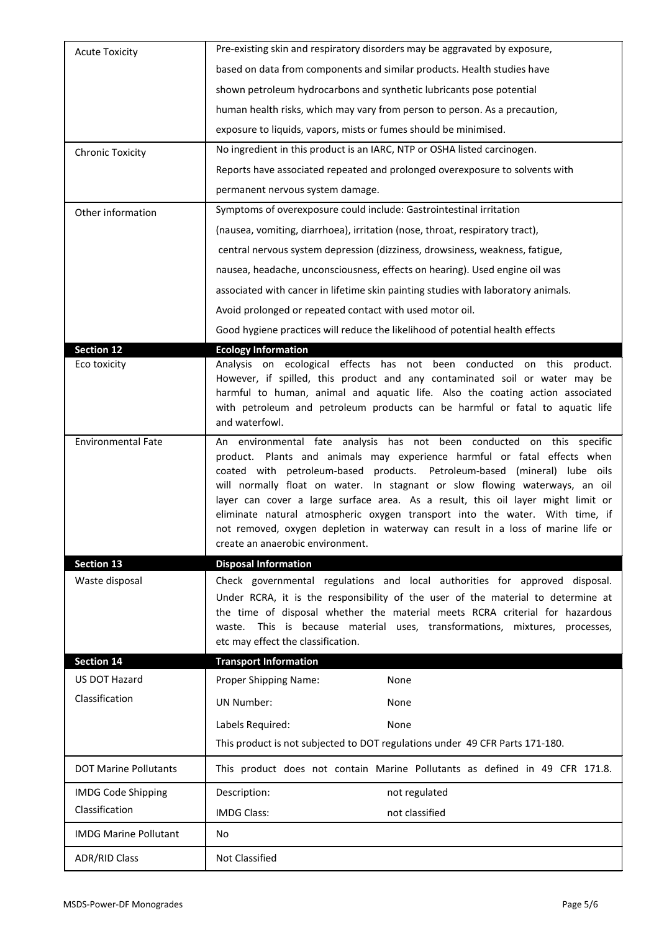| <b>Acute Toxicity</b>        | Pre-existing skin and respiratory disorders may be aggravated by exposure,                                                                                                                                                                                                                                                                                                                                                                                                                                                                                                                                 |
|------------------------------|------------------------------------------------------------------------------------------------------------------------------------------------------------------------------------------------------------------------------------------------------------------------------------------------------------------------------------------------------------------------------------------------------------------------------------------------------------------------------------------------------------------------------------------------------------------------------------------------------------|
|                              | based on data from components and similar products. Health studies have                                                                                                                                                                                                                                                                                                                                                                                                                                                                                                                                    |
|                              | shown petroleum hydrocarbons and synthetic lubricants pose potential                                                                                                                                                                                                                                                                                                                                                                                                                                                                                                                                       |
|                              | human health risks, which may vary from person to person. As a precaution,                                                                                                                                                                                                                                                                                                                                                                                                                                                                                                                                 |
|                              | exposure to liquids, vapors, mists or fumes should be minimised.                                                                                                                                                                                                                                                                                                                                                                                                                                                                                                                                           |
| <b>Chronic Toxicity</b>      | No ingredient in this product is an IARC, NTP or OSHA listed carcinogen.                                                                                                                                                                                                                                                                                                                                                                                                                                                                                                                                   |
|                              | Reports have associated repeated and prolonged overexposure to solvents with                                                                                                                                                                                                                                                                                                                                                                                                                                                                                                                               |
|                              | permanent nervous system damage.                                                                                                                                                                                                                                                                                                                                                                                                                                                                                                                                                                           |
| Other information            | Symptoms of overexposure could include: Gastrointestinal irritation                                                                                                                                                                                                                                                                                                                                                                                                                                                                                                                                        |
|                              | (nausea, vomiting, diarrhoea), irritation (nose, throat, respiratory tract),                                                                                                                                                                                                                                                                                                                                                                                                                                                                                                                               |
|                              | central nervous system depression (dizziness, drowsiness, weakness, fatigue,                                                                                                                                                                                                                                                                                                                                                                                                                                                                                                                               |
|                              | nausea, headache, unconsciousness, effects on hearing). Used engine oil was                                                                                                                                                                                                                                                                                                                                                                                                                                                                                                                                |
|                              | associated with cancer in lifetime skin painting studies with laboratory animals.                                                                                                                                                                                                                                                                                                                                                                                                                                                                                                                          |
|                              | Avoid prolonged or repeated contact with used motor oil.                                                                                                                                                                                                                                                                                                                                                                                                                                                                                                                                                   |
|                              | Good hygiene practices will reduce the likelihood of potential health effects                                                                                                                                                                                                                                                                                                                                                                                                                                                                                                                              |
| <b>Section 12</b>            | <b>Ecology Information</b>                                                                                                                                                                                                                                                                                                                                                                                                                                                                                                                                                                                 |
| Eco toxicity                 | Analysis on ecological effects has not been conducted on this product.<br>However, if spilled, this product and any contaminated soil or water may be<br>harmful to human, animal and aquatic life. Also the coating action associated<br>with petroleum and petroleum products can be harmful or fatal to aquatic life<br>and waterfowl.                                                                                                                                                                                                                                                                  |
| <b>Environmental Fate</b>    | An environmental fate analysis has not been conducted on this specific<br>product. Plants and animals may experience harmful or fatal effects when<br>coated with petroleum-based products. Petroleum-based (mineral) lube oils<br>will normally float on water. In stagnant or slow flowing waterways, an oil<br>layer can cover a large surface area. As a result, this oil layer might limit or<br>eliminate natural atmospheric oxygen transport into the water. With time, if<br>not removed, oxygen depletion in waterway can result in a loss of marine life or<br>create an anaerobic environment. |
| <b>Section 13</b>            | <b>Disposal Information</b>                                                                                                                                                                                                                                                                                                                                                                                                                                                                                                                                                                                |
| Waste disposal               | Check governmental regulations and local authorities for approved disposal.<br>Under RCRA, it is the responsibility of the user of the material to determine at<br>the time of disposal whether the material meets RCRA criterial for hazardous                                                                                                                                                                                                                                                                                                                                                            |
|                              | This is because material uses, transformations, mixtures, processes,<br>waste.<br>etc may effect the classification.                                                                                                                                                                                                                                                                                                                                                                                                                                                                                       |
| <b>Section 14</b>            | <b>Transport Information</b>                                                                                                                                                                                                                                                                                                                                                                                                                                                                                                                                                                               |
| US DOT Hazard                | Proper Shipping Name:<br>None                                                                                                                                                                                                                                                                                                                                                                                                                                                                                                                                                                              |
| Classification               | <b>UN Number:</b><br>None                                                                                                                                                                                                                                                                                                                                                                                                                                                                                                                                                                                  |
|                              | Labels Required:<br>None                                                                                                                                                                                                                                                                                                                                                                                                                                                                                                                                                                                   |
|                              | This product is not subjected to DOT regulations under 49 CFR Parts 171-180.                                                                                                                                                                                                                                                                                                                                                                                                                                                                                                                               |
| <b>DOT Marine Pollutants</b> | This product does not contain Marine Pollutants as defined in 49 CFR 171.8.                                                                                                                                                                                                                                                                                                                                                                                                                                                                                                                                |
| <b>IMDG Code Shipping</b>    | Description:<br>not regulated                                                                                                                                                                                                                                                                                                                                                                                                                                                                                                                                                                              |
| Classification               | <b>IMDG Class:</b><br>not classified                                                                                                                                                                                                                                                                                                                                                                                                                                                                                                                                                                       |
| <b>IMDG Marine Pollutant</b> | No                                                                                                                                                                                                                                                                                                                                                                                                                                                                                                                                                                                                         |